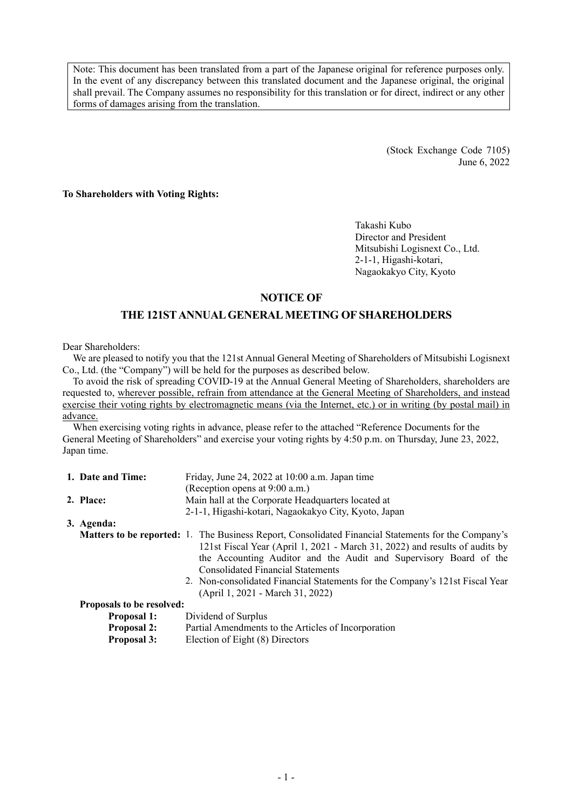Note: This document has been translated from a part of the Japanese original for reference purposes only. In the event of any discrepancy between this translated document and the Japanese original, the original shall prevail. The Company assumes no responsibility for this translation or for direct, indirect or any other forms of damages arising from the translation.

> (Stock Exchange Code 7105) June 6, 2022

**To Shareholders with Voting Rights:** 

Takashi Kubo Director and President Mitsubishi Logisnext Co., Ltd. 2-1-1, Higashi-kotari, Nagaokakyo City, Kyoto

## **NOTICE OF**

# **THE 121ST ANNUAL GENERAL MEETING OF SHAREHOLDERS**

Dear Shareholders:

We are pleased to notify you that the 121st Annual General Meeting of Shareholders of Mitsubishi Logisnext Co., Ltd. (the "Company") will be held for the purposes as described below.

To avoid the risk of spreading COVID-19 at the Annual General Meeting of Shareholders, shareholders are requested to, wherever possible, refrain from attendance at the General Meeting of Shareholders, and instead exercise their voting rights by electromagnetic means (via the Internet, etc.) or in writing (by postal mail) in advance.

When exercising voting rights in advance, please refer to the attached "Reference Documents for the General Meeting of Shareholders" and exercise your voting rights by 4:50 p.m. on Thursday, June 23, 2022, Japan time.

| 1. Date and Time:<br>Friday, June 24, 2022 at 10:00 a.m. Japan time |                                  |                                                                                                     |
|---------------------------------------------------------------------|----------------------------------|-----------------------------------------------------------------------------------------------------|
|                                                                     |                                  | (Reception opens at 9:00 a.m.)                                                                      |
|                                                                     | 2. Place:                        | Main hall at the Corporate Headquarters located at                                                  |
|                                                                     |                                  | 2-1-1, Higashi-kotari, Nagaokakyo City, Kyoto, Japan                                                |
|                                                                     | 3. Agenda:                       |                                                                                                     |
|                                                                     |                                  | Matters to be reported: 1. The Business Report, Consolidated Financial Statements for the Company's |
|                                                                     |                                  | 121st Fiscal Year (April 1, 2021 - March 31, 2022) and results of audits by                         |
|                                                                     |                                  | the Accounting Auditor and the Audit and Supervisory Board of the                                   |
|                                                                     |                                  | <b>Consolidated Financial Statements</b>                                                            |
|                                                                     |                                  | 2. Non-consolidated Financial Statements for the Company's 121st Fiscal Year                        |
|                                                                     |                                  | (April 1, 2021 - March 31, 2022)                                                                    |
|                                                                     | <b>Proposals to be resolved:</b> |                                                                                                     |
|                                                                     | <b>Proposal 1:</b>               | Dividend of Surplus                                                                                 |
|                                                                     | <b>Proposal 2:</b>               | Partial Amendments to the Articles of Incorporation                                                 |

**Proposal 3:** Election of Eight (8) Directors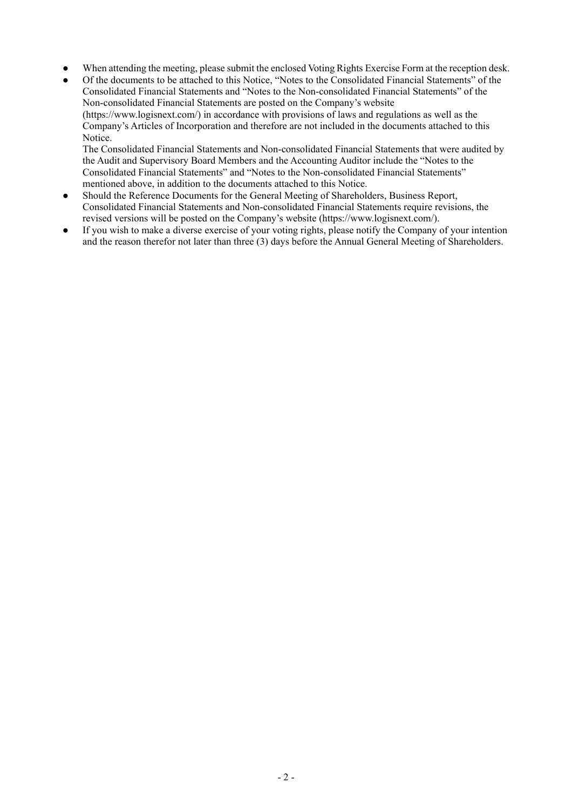- When attending the meeting, please submit the enclosed Voting Rights Exercise Form at the reception desk.
- Of the documents to be attached to this Notice, "Notes to the Consolidated Financial Statements" of the Consolidated Financial Statements and "Notes to the Non-consolidated Financial Statements" of the Non-consolidated Financial Statements are posted on the Company's website (https://www.logisnext.com/) in accordance with provisions of laws and regulations as well as the Company's Articles of Incorporation and therefore are not included in the documents attached to this Notice.

The Consolidated Financial Statements and Non-consolidated Financial Statements that were audited by the Audit and Supervisory Board Members and the Accounting Auditor include the "Notes to the Consolidated Financial Statements" and "Notes to the Non-consolidated Financial Statements" mentioned above, in addition to the documents attached to this Notice.

- Should the Reference Documents for the General Meeting of Shareholders, Business Report, Consolidated Financial Statements and Non-consolidated Financial Statements require revisions, the revised versions will be posted on the Company's website (https://www.logisnext.com/).
- If you wish to make a diverse exercise of your voting rights, please notify the Company of your intention and the reason therefor not later than three (3) days before the Annual General Meeting of Shareholders.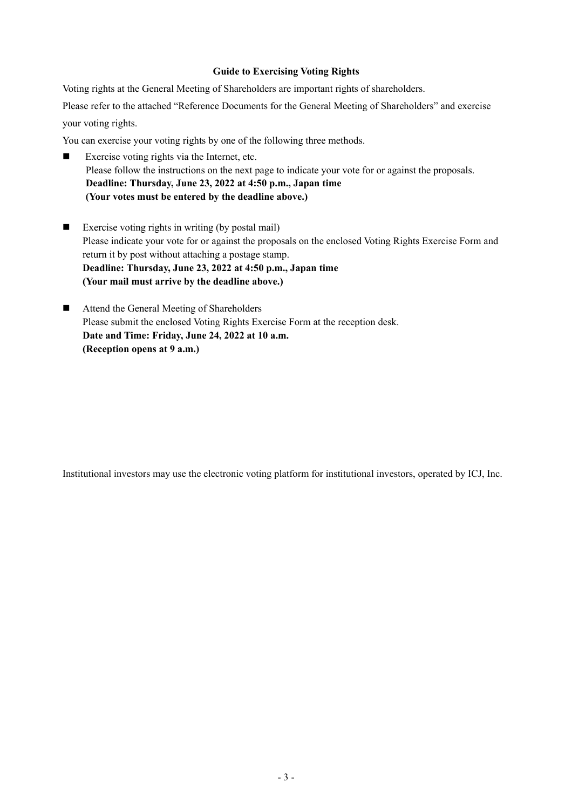## **Guide to Exercising Voting Rights**

Voting rights at the General Meeting of Shareholders are important rights of shareholders.

Please refer to the attached "Reference Documents for the General Meeting of Shareholders" and exercise your voting rights.

You can exercise your voting rights by one of the following three methods.

- Exercise voting rights via the Internet, etc. Please follow the instructions on the next page to indicate your vote for or against the proposals. **Deadline: Thursday, June 23, 2022 at 4:50 p.m., Japan time (Your votes must be entered by the deadline above.)**
- Exercise voting rights in writing (by postal mail) Please indicate your vote for or against the proposals on the enclosed Voting Rights Exercise Form and return it by post without attaching a postage stamp. **Deadline: Thursday, June 23, 2022 at 4:50 p.m., Japan time (Your mail must arrive by the deadline above.)**
- Attend the General Meeting of Shareholders Please submit the enclosed Voting Rights Exercise Form at the reception desk. **Date and Time: Friday, June 24, 2022 at 10 a.m. (Reception opens at 9 a.m.)**

Institutional investors may use the electronic voting platform for institutional investors, operated by ICJ, Inc.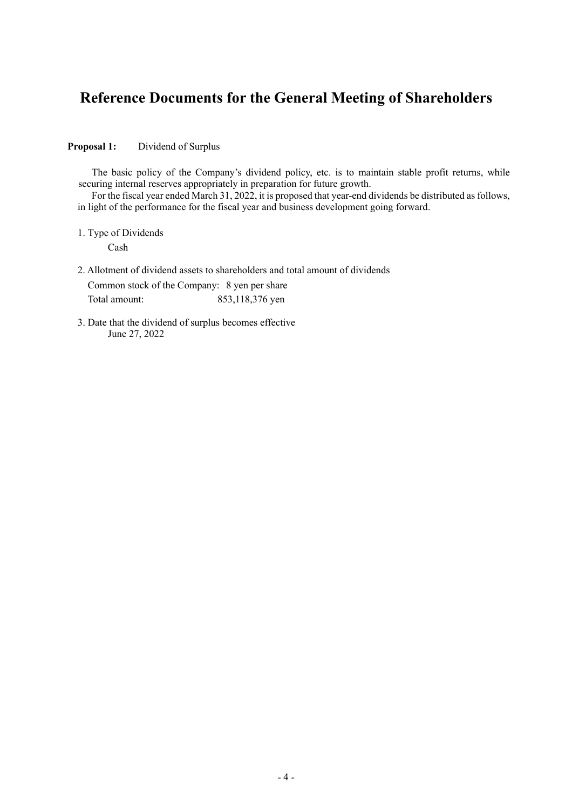# **Reference Documents for the General Meeting of Shareholders**

**Proposal 1:** Dividend of Surplus

The basic policy of the Company's dividend policy, etc. is to maintain stable profit returns, while securing internal reserves appropriately in preparation for future growth.

For the fiscal year ended March 31, 2022, it is proposed that year-end dividends be distributed as follows, in light of the performance for the fiscal year and business development going forward.

1. Type of Dividends

Cash

2. Allotment of dividend assets to shareholders and total amount of dividends Common stock of the Company: 8 yen per share

Total amount: 853,118,376 yen

3. Date that the dividend of surplus becomes effective June 27, 2022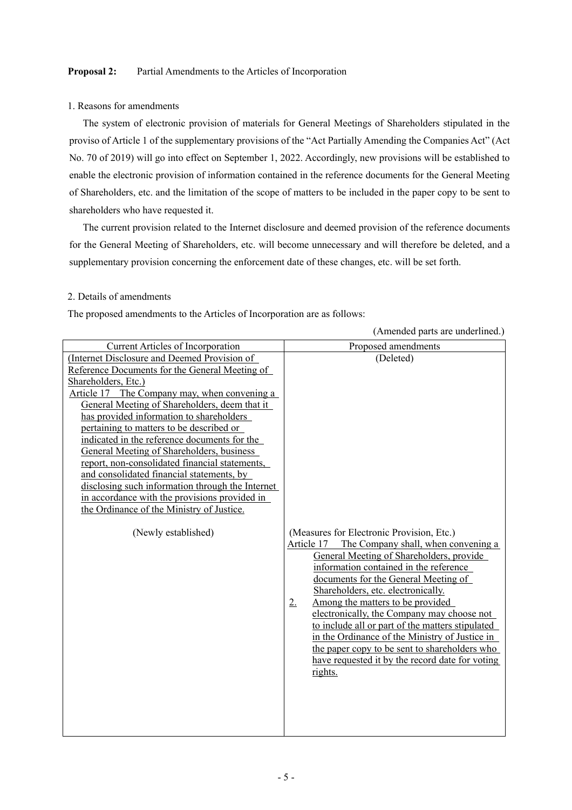#### **Proposal 2:** Partial Amendments to the Articles of Incorporation

#### 1. Reasons for amendments

 The system of electronic provision of materials for General Meetings of Shareholders stipulated in the proviso of Article 1 of the supplementary provisions of the "Act Partially Amending the Companies Act" (Act No. 70 of 2019) will go into effect on September 1, 2022. Accordingly, new provisions will be established to enable the electronic provision of information contained in the reference documents for the General Meeting of Shareholders, etc. and the limitation of the scope of matters to be included in the paper copy to be sent to shareholders who have requested it.

 The current provision related to the Internet disclosure and deemed provision of the reference documents for the General Meeting of Shareholders, etc. will become unnecessary and will therefore be deleted, and a supplementary provision concerning the enforcement date of these changes, etc. will be set forth.

#### 2. Details of amendments

The proposed amendments to the Articles of Incorporation are as follows:

|                                                                                                                                                                                                                                                                                                                                                                                                                                                                                                                                                                                                                                                                                     | (Amended parts are underlined.)                                                                                                                                                                                                                                                                                                                                                                                                                                                                                                                                                              |
|-------------------------------------------------------------------------------------------------------------------------------------------------------------------------------------------------------------------------------------------------------------------------------------------------------------------------------------------------------------------------------------------------------------------------------------------------------------------------------------------------------------------------------------------------------------------------------------------------------------------------------------------------------------------------------------|----------------------------------------------------------------------------------------------------------------------------------------------------------------------------------------------------------------------------------------------------------------------------------------------------------------------------------------------------------------------------------------------------------------------------------------------------------------------------------------------------------------------------------------------------------------------------------------------|
| <b>Current Articles of Incorporation</b>                                                                                                                                                                                                                                                                                                                                                                                                                                                                                                                                                                                                                                            | Proposed amendments                                                                                                                                                                                                                                                                                                                                                                                                                                                                                                                                                                          |
| (Internet Disclosure and Deemed Provision of<br>Reference Documents for the General Meeting of<br>Shareholders, Etc.)<br>Article 17 The Company may, when convening a<br>General Meeting of Shareholders, deem that it<br>has provided information to shareholders<br>pertaining to matters to be described or<br>indicated in the reference documents for the<br>General Meeting of Shareholders, business<br>report, non-consolidated financial statements,<br>and consolidated financial statements, by<br>disclosing such information through the Internet<br>in accordance with the provisions provided in<br>the Ordinance of the Ministry of Justice.<br>(Newly established) | (Deleted)<br>(Measures for Electronic Provision, Etc.)<br>The Company shall, when convening a<br>Article 17<br>General Meeting of Shareholders, provide<br>information contained in the reference<br>documents for the General Meeting of<br>Shareholders, etc. electronically.<br>Among the matters to be provided<br>2.<br>electronically, the Company may choose not<br>to include all or part of the matters stipulated<br>in the Ordinance of the Ministry of Justice in<br>the paper copy to be sent to shareholders who<br>have requested it by the record date for voting<br>rights. |
|                                                                                                                                                                                                                                                                                                                                                                                                                                                                                                                                                                                                                                                                                     |                                                                                                                                                                                                                                                                                                                                                                                                                                                                                                                                                                                              |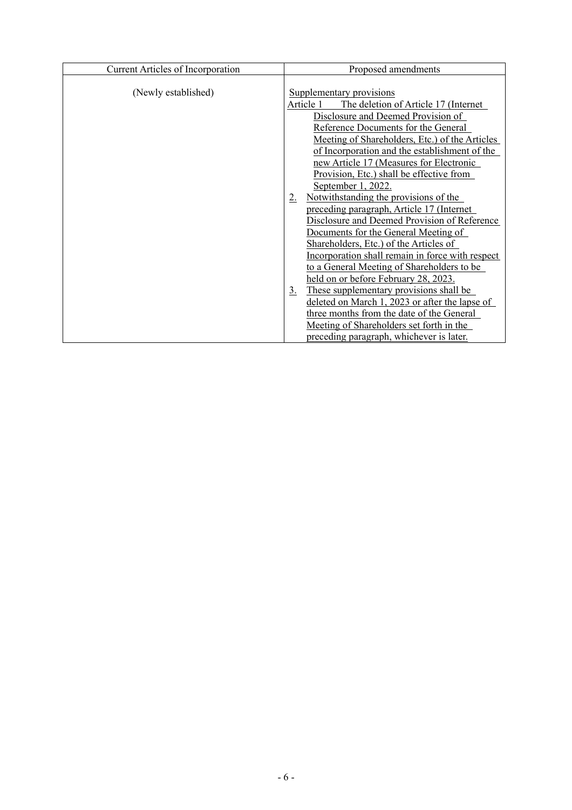| <b>Current Articles of Incorporation</b> | Proposed amendments                                                                                                                                                                                                                                                                                                                                                                                                                                                                                                                                                                                                                                                                                                                                                                                                                                                                                                                                                                                |
|------------------------------------------|----------------------------------------------------------------------------------------------------------------------------------------------------------------------------------------------------------------------------------------------------------------------------------------------------------------------------------------------------------------------------------------------------------------------------------------------------------------------------------------------------------------------------------------------------------------------------------------------------------------------------------------------------------------------------------------------------------------------------------------------------------------------------------------------------------------------------------------------------------------------------------------------------------------------------------------------------------------------------------------------------|
| (Newly established)                      | Supplementary provisions<br>Article 1<br>The deletion of Article 17 (Internet)<br>Disclosure and Deemed Provision of<br>Reference Documents for the General<br>Meeting of Shareholders, Etc.) of the Articles<br>of Incorporation and the establishment of the<br>new Article 17 (Measures for Electronic<br>Provision, Etc.) shall be effective from<br>September 1, 2022.<br>Notwithstanding the provisions of the<br>2.<br>preceding paragraph, Article 17 (Internet<br>Disclosure and Deemed Provision of Reference<br>Documents for the General Meeting of<br>Shareholders, Etc.) of the Articles of<br>Incorporation shall remain in force with respect<br>to a General Meeting of Shareholders to be<br>held on or before February 28, 2023.<br>These supplementary provisions shall be<br><u>3.</u><br>deleted on March 1, 2023 or after the lapse of<br>three months from the date of the General<br>Meeting of Shareholders set forth in the<br>preceding paragraph, whichever is later. |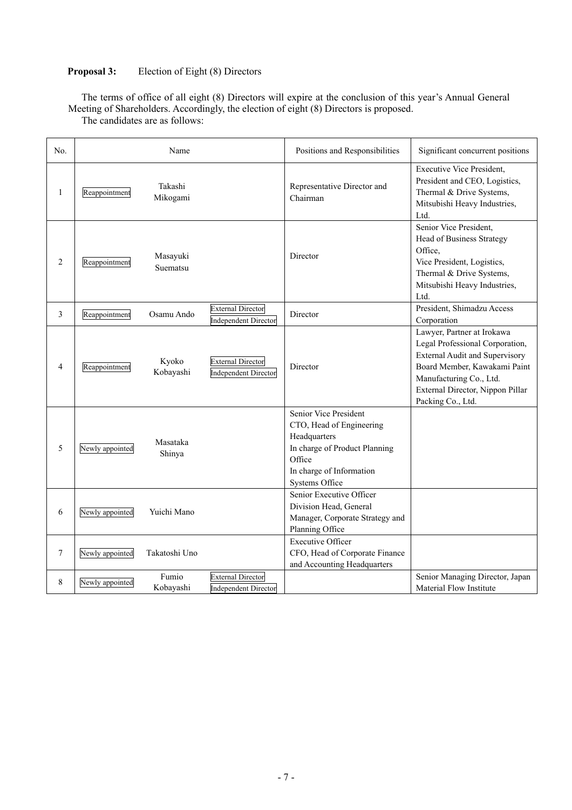## **Proposal 3:** Election of Eight (8) Directors

The terms of office of all eight (8) Directors will expire at the conclusion of this year's Annual General Meeting of Shareholders. Accordingly, the election of eight (8) Directors is proposed.

No. Name Name Positions and Responsibilities Significant concurrent positions 1 Reappointment Takashi Mikogami Representative Director and Chairman Executive Vice President, President and CEO, Logistics, Thermal & Drive Systems, Mitsubishi Heavy Industries, Ltd. 2 **Reappointment** Masayuki Suematsu Director Senior Vice President, Head of Business Strategy Office, Vice President, Logistics, Thermal & Drive Systems, Mitsubishi Heavy Industries, Ltd. 3 Reappointment Osamu Ando External Director Independent Director Director President, Shimadzu Access Corporation 4 Reappointment Kyoko Kobayashi External Director Independent Director Director Lawyer, Partner at Irokawa Legal Professional Corporation, External Audit and Supervisory Board Member, Kawakami Paint Manufacturing Co., Ltd. External Director, Nippon Pillar Packing Co., Ltd. 5 Newly appointed Masataka Shinya Senior Vice President CTO, Head of Engineering Headquarters In charge of Product Planning Office In charge of Information Systems Office 6 Newly appointed Yuichi Mano Senior Executive Officer Division Head, General Manager, Corporate Strategy and Planning Office 7 Newly appointed Takatoshi Uno Executive Officer CFO, Head of Corporate Finance and Accounting Headquarters 8 Newly appointed Fumio Kobayashi External Director Independent Director Senior Managing Director, Japan Material Flow Institute

The candidates are as follows: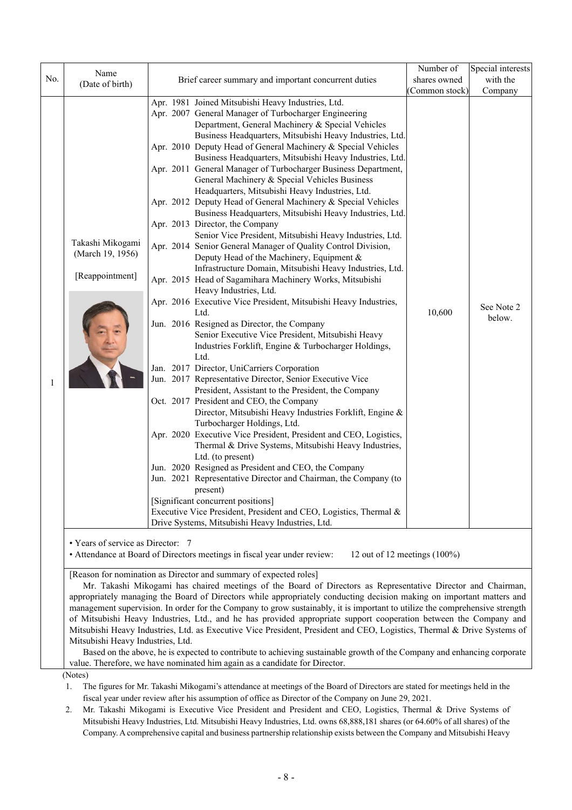|                                                                                                              | Name                              |                                                                                                                       | Number of     | Special interests |
|--------------------------------------------------------------------------------------------------------------|-----------------------------------|-----------------------------------------------------------------------------------------------------------------------|---------------|-------------------|
| No.                                                                                                          | (Date of birth)                   | Brief career summary and important concurrent duties                                                                  | shares owned  | with the          |
|                                                                                                              |                                   |                                                                                                                       | Common stock) | Company           |
|                                                                                                              |                                   | Apr. 1981 Joined Mitsubishi Heavy Industries, Ltd.                                                                    |               |                   |
|                                                                                                              |                                   | Apr. 2007 General Manager of Turbocharger Engineering                                                                 |               |                   |
|                                                                                                              |                                   | Department, General Machinery & Special Vehicles                                                                      |               |                   |
|                                                                                                              |                                   | Business Headquarters, Mitsubishi Heavy Industries, Ltd.                                                              |               |                   |
|                                                                                                              |                                   | Apr. 2010 Deputy Head of General Machinery & Special Vehicles                                                         |               |                   |
|                                                                                                              |                                   | Business Headquarters, Mitsubishi Heavy Industries, Ltd.                                                              |               |                   |
|                                                                                                              |                                   | Apr. 2011 General Manager of Turbocharger Business Department,                                                        |               |                   |
|                                                                                                              |                                   | General Machinery & Special Vehicles Business                                                                         |               |                   |
|                                                                                                              |                                   | Headquarters, Mitsubishi Heavy Industries, Ltd.                                                                       |               |                   |
|                                                                                                              |                                   | Apr. 2012 Deputy Head of General Machinery & Special Vehicles                                                         |               |                   |
|                                                                                                              |                                   | Business Headquarters, Mitsubishi Heavy Industries, Ltd.                                                              |               |                   |
|                                                                                                              |                                   | Apr. 2013 Director, the Company                                                                                       |               |                   |
|                                                                                                              | Takashi Mikogami                  | Senior Vice President, Mitsubishi Heavy Industries, Ltd.                                                              |               |                   |
|                                                                                                              | (March 19, 1956)                  | Apr. 2014 Senior General Manager of Quality Control Division,                                                         |               |                   |
|                                                                                                              |                                   | Deputy Head of the Machinery, Equipment &                                                                             |               |                   |
|                                                                                                              | [Reappointment]                   | Infrastructure Domain, Mitsubishi Heavy Industries, Ltd.                                                              |               |                   |
|                                                                                                              |                                   | Apr. 2015 Head of Sagamihara Machinery Works, Mitsubishi<br>Heavy Industries, Ltd.                                    |               |                   |
|                                                                                                              |                                   | Apr. 2016 Executive Vice President, Mitsubishi Heavy Industries,                                                      |               |                   |
|                                                                                                              |                                   | Ltd.                                                                                                                  | 10,600        | See Note 2        |
|                                                                                                              |                                   | Jun. 2016 Resigned as Director, the Company                                                                           |               | below.            |
|                                                                                                              |                                   | Senior Executive Vice President, Mitsubishi Heavy                                                                     |               |                   |
|                                                                                                              |                                   | Industries Forklift, Engine & Turbocharger Holdings,                                                                  |               |                   |
|                                                                                                              |                                   | Ltd.                                                                                                                  |               |                   |
|                                                                                                              |                                   | Jan. 2017 Director, UniCarriers Corporation                                                                           |               |                   |
| 1                                                                                                            |                                   | Jun. 2017 Representative Director, Senior Executive Vice                                                              |               |                   |
|                                                                                                              |                                   | President, Assistant to the President, the Company                                                                    |               |                   |
|                                                                                                              |                                   | Oct. 2017 President and CEO, the Company                                                                              |               |                   |
|                                                                                                              |                                   | Director, Mitsubishi Heavy Industries Forklift, Engine &                                                              |               |                   |
|                                                                                                              |                                   | Turbocharger Holdings, Ltd.                                                                                           |               |                   |
|                                                                                                              |                                   | Apr. 2020 Executive Vice President, President and CEO, Logistics,                                                     |               |                   |
|                                                                                                              |                                   | Thermal & Drive Systems, Mitsubishi Heavy Industries,                                                                 |               |                   |
|                                                                                                              |                                   | Ltd. (to present)                                                                                                     |               |                   |
|                                                                                                              |                                   | Jun. 2020 Resigned as President and CEO, the Company                                                                  |               |                   |
|                                                                                                              |                                   | Jun. 2021 Representative Director and Chairman, the Company (to<br>present)                                           |               |                   |
|                                                                                                              |                                   | [Significant concurrent positions]                                                                                    |               |                   |
|                                                                                                              |                                   | Executive Vice President, President and CEO, Logistics, Thermal &                                                     |               |                   |
|                                                                                                              |                                   | Drive Systems, Mitsubishi Heavy Industries, Ltd.                                                                      |               |                   |
|                                                                                                              |                                   |                                                                                                                       |               |                   |
|                                                                                                              | • Years of service as Director: 7 |                                                                                                                       |               |                   |
| • Attendance at Board of Directors meetings in fiscal year under review:<br>12 out of 12 meetings $(100\%)$  |                                   |                                                                                                                       |               |                   |
| [Reason for nomination as Director and summary of expected roles]                                            |                                   |                                                                                                                       |               |                   |
| Mr. Takashi Mikogami has chaired meetings of the Board of Directors as Representative Director and Chairman, |                                   |                                                                                                                       |               |                   |
|                                                                                                              |                                   | appropriately managing the Board of Directors while appropriately conducting decision making on important matters and |               |                   |

management supervision. In order for the Company to grow sustainably, it is important to utilize the comprehensive strength of Mitsubishi Heavy Industries, Ltd., and he has provided appropriate support cooperation between the Company and Mitsubishi Heavy Industries, Ltd. as Executive Vice President, President and CEO, Logistics, Thermal & Drive Systems of Mitsubishi Heavy Industries, Ltd.

Based on the above, he is expected to contribute to achieving sustainable growth of the Company and enhancing corporate value. Therefore, we have nominated him again as a candidate for Director.

(Notes)

1. The figures for Mr. Takashi Mikogami's attendance at meetings of the Board of Directors are stated for meetings held in the fiscal year under review after his assumption of office as Director of the Company on June 29, 2021.

2. Mr. Takashi Mikogami is Executive Vice President and President and CEO, Logistics, Thermal & Drive Systems of Mitsubishi Heavy Industries, Ltd. Mitsubishi Heavy Industries, Ltd. owns 68,888,181 shares (or 64.60% of all shares) of the Company. A comprehensive capital and business partnership relationship exists between the Company and Mitsubishi Heavy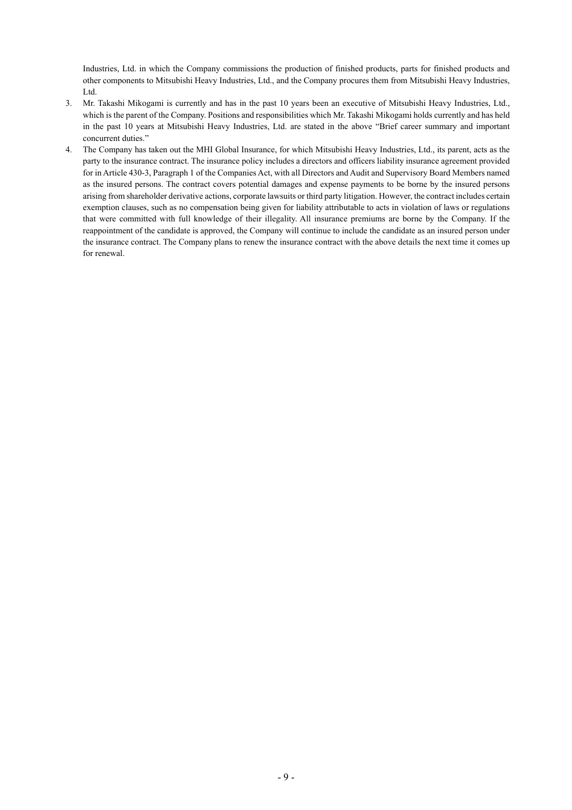Industries, Ltd. in which the Company commissions the production of finished products, parts for finished products and other components to Mitsubishi Heavy Industries, Ltd., and the Company procures them from Mitsubishi Heavy Industries, Ltd.

- 3. Mr. Takashi Mikogami is currently and has in the past 10 years been an executive of Mitsubishi Heavy Industries, Ltd., which is the parent of the Company. Positions and responsibilities which Mr. Takashi Mikogami holds currently and has held in the past 10 years at Mitsubishi Heavy Industries, Ltd. are stated in the above "Brief career summary and important concurrent duties."
- 4. The Company has taken out the MHI Global Insurance, for which Mitsubishi Heavy Industries, Ltd., its parent, acts as the party to the insurance contract. The insurance policy includes a directors and officers liability insurance agreement provided for in Article 430-3, Paragraph 1 of the Companies Act, with all Directors and Audit and Supervisory Board Members named as the insured persons. The contract covers potential damages and expense payments to be borne by the insured persons arising from shareholder derivative actions, corporate lawsuits or third party litigation. However, the contract includes certain exemption clauses, such as no compensation being given for liability attributable to acts in violation of laws or regulations that were committed with full knowledge of their illegality. All insurance premiums are borne by the Company. If the reappointment of the candidate is approved, the Company will continue to include the candidate as an insured person under the insurance contract. The Company plans to renew the insurance contract with the above details the next time it comes up for renewal.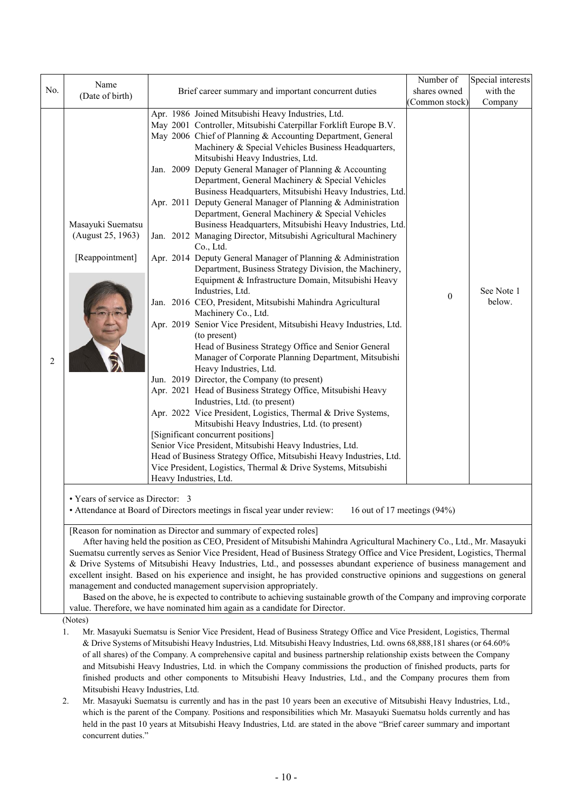| No. | Name<br>(Date of birth)                                                                                                                                                                                                                                              | Brief career summary and important concurrent duties                                                                                                                                                                                                                                                                                                                                                                                                                                                                                                                                                                                                                                                                                                                                                                                                                                                                                                                                                                                                                                                                                                                                                                                                                                                                                                                                                                                                                                                                                                                                                                                                                                                                                                                                              | Number of<br>shares owned<br>Common stock) | Special interests<br>with the   |  |  |
|-----|----------------------------------------------------------------------------------------------------------------------------------------------------------------------------------------------------------------------------------------------------------------------|---------------------------------------------------------------------------------------------------------------------------------------------------------------------------------------------------------------------------------------------------------------------------------------------------------------------------------------------------------------------------------------------------------------------------------------------------------------------------------------------------------------------------------------------------------------------------------------------------------------------------------------------------------------------------------------------------------------------------------------------------------------------------------------------------------------------------------------------------------------------------------------------------------------------------------------------------------------------------------------------------------------------------------------------------------------------------------------------------------------------------------------------------------------------------------------------------------------------------------------------------------------------------------------------------------------------------------------------------------------------------------------------------------------------------------------------------------------------------------------------------------------------------------------------------------------------------------------------------------------------------------------------------------------------------------------------------------------------------------------------------------------------------------------------------|--------------------------------------------|---------------------------------|--|--|
| 2   | Masayuki Suematsu<br>(August 25, 1963)<br>[Reappointment]                                                                                                                                                                                                            | Apr. 1986 Joined Mitsubishi Heavy Industries, Ltd.<br>May 2001 Controller, Mitsubishi Caterpillar Forklift Europe B.V.<br>May 2006 Chief of Planning & Accounting Department, General<br>Machinery & Special Vehicles Business Headquarters,<br>Mitsubishi Heavy Industries, Ltd.<br>Jan. 2009 Deputy General Manager of Planning & Accounting<br>Department, General Machinery & Special Vehicles<br>Business Headquarters, Mitsubishi Heavy Industries, Ltd.<br>Apr. 2011 Deputy General Manager of Planning & Administration<br>Department, General Machinery & Special Vehicles<br>Business Headquarters, Mitsubishi Heavy Industries, Ltd.<br>Jan. 2012 Managing Director, Mitsubishi Agricultural Machinery<br>Co., Ltd.<br>Apr. 2014 Deputy General Manager of Planning & Administration<br>Department, Business Strategy Division, the Machinery,<br>Equipment & Infrastructure Domain, Mitsubishi Heavy<br>Industries, Ltd.<br>Jan. 2016 CEO, President, Mitsubishi Mahindra Agricultural<br>Machinery Co., Ltd.<br>Apr. 2019 Senior Vice President, Mitsubishi Heavy Industries, Ltd.<br>(to present)<br>Head of Business Strategy Office and Senior General<br>Manager of Corporate Planning Department, Mitsubishi<br>Heavy Industries, Ltd.<br>Jun. 2019 Director, the Company (to present)<br>Apr. 2021 Head of Business Strategy Office, Mitsubishi Heavy<br>Industries, Ltd. (to present)<br>Apr. 2022 Vice President, Logistics, Thermal & Drive Systems,<br>Mitsubishi Heavy Industries, Ltd. (to present)<br>[Significant concurrent positions]<br>Senior Vice President, Mitsubishi Heavy Industries, Ltd.<br>Head of Business Strategy Office, Mitsubishi Heavy Industries, Ltd.<br>Vice President, Logistics, Thermal & Drive Systems, Mitsubishi<br>Heavy Industries, Ltd. | $\boldsymbol{0}$                           | Company<br>See Note 1<br>below. |  |  |
|     | • Years of service as Director: 3                                                                                                                                                                                                                                    | • Attendance at Board of Directors meetings in fiscal year under review:<br>16 out of 17 meetings (94%)                                                                                                                                                                                                                                                                                                                                                                                                                                                                                                                                                                                                                                                                                                                                                                                                                                                                                                                                                                                                                                                                                                                                                                                                                                                                                                                                                                                                                                                                                                                                                                                                                                                                                           |                                            |                                 |  |  |
|     |                                                                                                                                                                                                                                                                      | [Reason for nomination as Director and summary of expected roles]<br>After having held the position as CEO, President of Mitsubishi Mahindra Agricultural Machinery Co., Ltd., Mr. Masayuki<br>Suematsu currently serves as Senior Vice President, Head of Business Strategy Office and Vice President, Logistics, Thermal<br>& Drive Systems of Mitsubishi Heavy Industries, Ltd., and possesses abundant experience of business management and<br>excellent insight. Based on his experience and insight, he has provided constructive opinions and suggestions on general<br>management and conducted management supervision appropriately.<br>Based on the above, he is expected to contribute to achieving sustainable growth of the Company and improving corporate<br>value. Therefore, we have nominated him again as a candidate for Director.                                                                                                                                                                                                                                                                                                                                                                                                                                                                                                                                                                                                                                                                                                                                                                                                                                                                                                                                           |                                            |                                 |  |  |
|     | (Notes)<br>Mr. Masayuki Suematsu is Senior Vice President, Head of Business Strategy Office and Vice President, Logistics, Thermal<br>1.<br>& Drive Systems of Mitsubishi Heavy Industries, Ltd. Mitsubishi Heavy Industries, Ltd. owns 68,888,181 shares (or 64.60% |                                                                                                                                                                                                                                                                                                                                                                                                                                                                                                                                                                                                                                                                                                                                                                                                                                                                                                                                                                                                                                                                                                                                                                                                                                                                                                                                                                                                                                                                                                                                                                                                                                                                                                                                                                                                   |                                            |                                 |  |  |

- of all shares) of the Company. A comprehensive capital and business partnership relationship exists between the Company and Mitsubishi Heavy Industries, Ltd. in which the Company commissions the production of finished products, parts for finished products and other components to Mitsubishi Heavy Industries, Ltd., and the Company procures them from Mitsubishi Heavy Industries, Ltd.
- 2. Mr. Masayuki Suematsu is currently and has in the past 10 years been an executive of Mitsubishi Heavy Industries, Ltd., which is the parent of the Company. Positions and responsibilities which Mr. Masayuki Suematsu holds currently and has held in the past 10 years at Mitsubishi Heavy Industries, Ltd. are stated in the above "Brief career summary and important concurrent duties."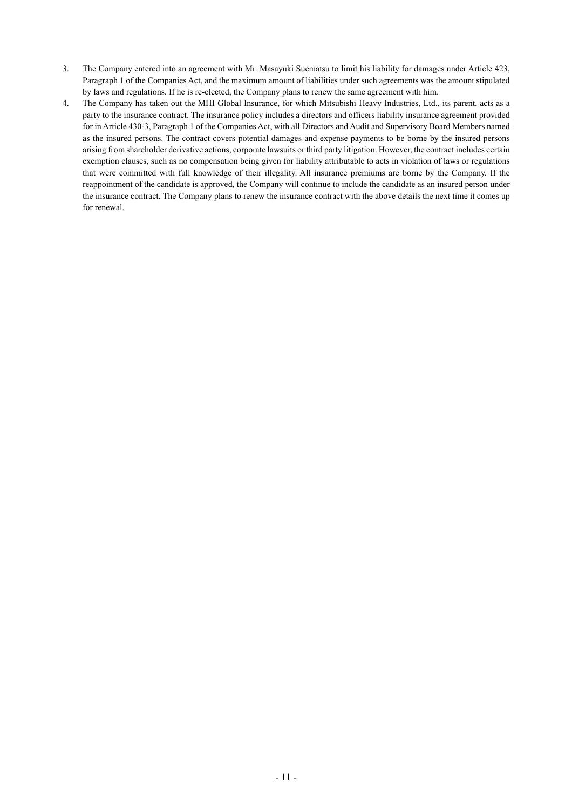- 3. The Company entered into an agreement with Mr. Masayuki Suematsu to limit his liability for damages under Article 423, Paragraph 1 of the Companies Act, and the maximum amount of liabilities under such agreements was the amount stipulated by laws and regulations. If he is re-elected, the Company plans to renew the same agreement with him.
- 4. The Company has taken out the MHI Global Insurance, for which Mitsubishi Heavy Industries, Ltd., its parent, acts as a party to the insurance contract. The insurance policy includes a directors and officers liability insurance agreement provided for in Article 430-3, Paragraph 1 of the Companies Act, with all Directors and Audit and Supervisory Board Members named as the insured persons. The contract covers potential damages and expense payments to be borne by the insured persons arising from shareholder derivative actions, corporate lawsuits or third party litigation. However, the contract includes certain exemption clauses, such as no compensation being given for liability attributable to acts in violation of laws or regulations that were committed with full knowledge of their illegality. All insurance premiums are borne by the Company. If the reappointment of the candidate is approved, the Company will continue to include the candidate as an insured person under the insurance contract. The Company plans to renew the insurance contract with the above details the next time it comes up for renewal.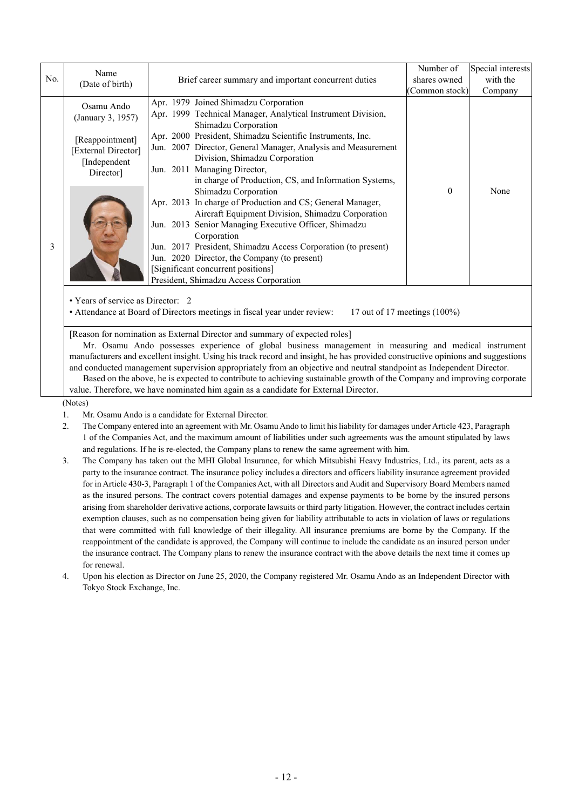|     | Name                                                                                                                                                                                                                                                                                                                                                                                                                                                                                                                                                                                                                                                            |                                                                                                                                                                                                                                                                                                                                                                                                                  | Number of     | Special interests |  |  |
|-----|-----------------------------------------------------------------------------------------------------------------------------------------------------------------------------------------------------------------------------------------------------------------------------------------------------------------------------------------------------------------------------------------------------------------------------------------------------------------------------------------------------------------------------------------------------------------------------------------------------------------------------------------------------------------|------------------------------------------------------------------------------------------------------------------------------------------------------------------------------------------------------------------------------------------------------------------------------------------------------------------------------------------------------------------------------------------------------------------|---------------|-------------------|--|--|
| No. | (Date of birth)                                                                                                                                                                                                                                                                                                                                                                                                                                                                                                                                                                                                                                                 | Brief career summary and important concurrent duties                                                                                                                                                                                                                                                                                                                                                             | shares owned  | with the          |  |  |
|     |                                                                                                                                                                                                                                                                                                                                                                                                                                                                                                                                                                                                                                                                 |                                                                                                                                                                                                                                                                                                                                                                                                                  | Common stock) | Company           |  |  |
|     | Osamu Ando<br>(January 3, 1957)<br>[Reappointment]<br>[External Director]<br>[Independent<br>Director]                                                                                                                                                                                                                                                                                                                                                                                                                                                                                                                                                          | Apr. 1979 Joined Shimadzu Corporation<br>Apr. 1999 Technical Manager, Analytical Instrument Division,<br>Shimadzu Corporation                                                                                                                                                                                                                                                                                    |               |                   |  |  |
|     |                                                                                                                                                                                                                                                                                                                                                                                                                                                                                                                                                                                                                                                                 | Apr. 2000 President, Shimadzu Scientific Instruments, Inc.<br>Jun. 2007 Director, General Manager, Analysis and Measurement<br>Division, Shimadzu Corporation<br>Jun. 2011 Managing Director,<br>in charge of Production, CS, and Information Systems,                                                                                                                                                           |               |                   |  |  |
| 3   |                                                                                                                                                                                                                                                                                                                                                                                                                                                                                                                                                                                                                                                                 | Shimadzu Corporation<br>Apr. 2013 In charge of Production and CS; General Manager,<br>Aircraft Equipment Division, Shimadzu Corporation<br>Jun. 2013 Senior Managing Executive Officer, Shimadzu<br>Corporation<br>Jun. 2017 President, Shimadzu Access Corporation (to present)<br>Jun. 2020 Director, the Company (to present)<br>[Significant concurrent positions]<br>President, Shimadzu Access Corporation | $\theta$      | None              |  |  |
|     | • Years of service as Director: 2<br>• Attendance at Board of Directors meetings in fiscal year under review:<br>17 out of 17 meetings $(100\%)$                                                                                                                                                                                                                                                                                                                                                                                                                                                                                                                |                                                                                                                                                                                                                                                                                                                                                                                                                  |               |                   |  |  |
|     | [Reason for nomination as External Director and summary of expected roles]<br>Mr. Osamu Ando possesses experience of global business management in measuring and medical instrument<br>manufacturers and excellent insight. Using his track record and insight, he has provided constructive opinions and suggestions<br>and conducted management supervision appropriately from an objective and neutral standpoint as Independent Director.<br>Based on the above, he is expected to contribute to achieving sustainable growth of the Company and improving corporate<br>value. Therefore, we have nominated him again as a candidate for External Director. |                                                                                                                                                                                                                                                                                                                                                                                                                  |               |                   |  |  |
|     | (Notes)<br>Mr. Osamu Ando is a candidate for External Director.<br>The Occurrence internal line on a conservation of Mar Occurrence And Let Himilate Health Ham Condition and John Andrett (400) Desire                                                                                                                                                                                                                                                                                                                                                                                                                                                         |                                                                                                                                                                                                                                                                                                                                                                                                                  |               |                   |  |  |

2. The Company entered into an agreement with Mr. Osamu Ando to limit his liability for damages under Article 423, Paragraph 1 of the Companies Act, and the maximum amount of liabilities under such agreements was the amount stipulated by laws and regulations. If he is re-elected, the Company plans to renew the same agreement with him.

- 3. The Company has taken out the MHI Global Insurance, for which Mitsubishi Heavy Industries, Ltd., its parent, acts as a party to the insurance contract. The insurance policy includes a directors and officers liability insurance agreement provided for in Article 430-3, Paragraph 1 of the Companies Act, with all Directors and Audit and Supervisory Board Members named as the insured persons. The contract covers potential damages and expense payments to be borne by the insured persons arising from shareholder derivative actions, corporate lawsuits or third party litigation. However, the contract includes certain exemption clauses, such as no compensation being given for liability attributable to acts in violation of laws or regulations that were committed with full knowledge of their illegality. All insurance premiums are borne by the Company. If the reappointment of the candidate is approved, the Company will continue to include the candidate as an insured person under the insurance contract. The Company plans to renew the insurance contract with the above details the next time it comes up for renewal.
- 4. Upon his election as Director on June 25, 2020, the Company registered Mr. Osamu Ando as an Independent Director with Tokyo Stock Exchange, Inc.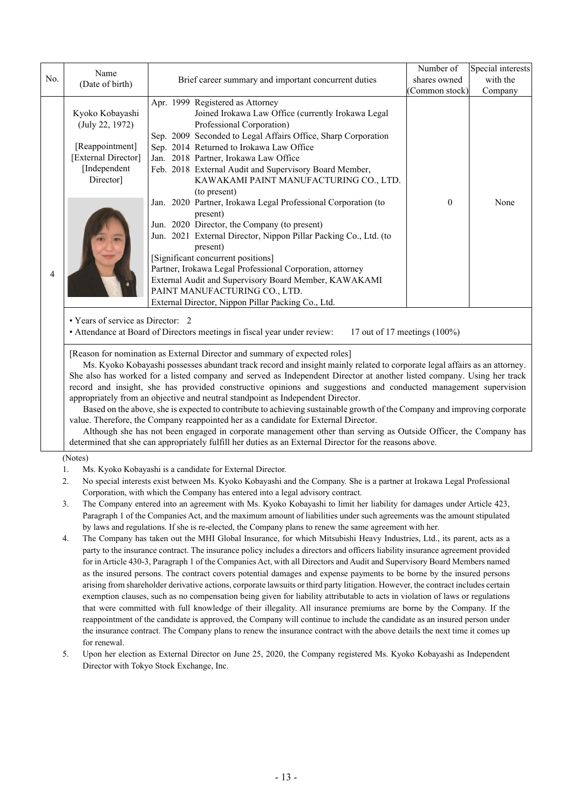| No.                                                                             | Name                                                                                                                                                                                                                                                                                                                                                                                                                                                                                                                                                                                                                                                                |                                                                                                                                                                                                                                                            | Number of<br>shares owned | Special interests<br>with the |  |  |
|---------------------------------------------------------------------------------|---------------------------------------------------------------------------------------------------------------------------------------------------------------------------------------------------------------------------------------------------------------------------------------------------------------------------------------------------------------------------------------------------------------------------------------------------------------------------------------------------------------------------------------------------------------------------------------------------------------------------------------------------------------------|------------------------------------------------------------------------------------------------------------------------------------------------------------------------------------------------------------------------------------------------------------|---------------------------|-------------------------------|--|--|
|                                                                                 | (Date of birth)                                                                                                                                                                                                                                                                                                                                                                                                                                                                                                                                                                                                                                                     | Brief career summary and important concurrent duties                                                                                                                                                                                                       | (Common stock)            | Company                       |  |  |
|                                                                                 | Kyoko Kobayashi<br>(July 22, 1972)                                                                                                                                                                                                                                                                                                                                                                                                                                                                                                                                                                                                                                  | Apr. 1999 Registered as Attorney<br>Joined Irokawa Law Office (currently Irokawa Legal<br>Professional Corporation)<br>Sep. 2009 Seconded to Legal Affairs Office, Sharp Corporation                                                                       |                           |                               |  |  |
|                                                                                 | [Reappointment]                                                                                                                                                                                                                                                                                                                                                                                                                                                                                                                                                                                                                                                     | Sep. 2014 Returned to Irokawa Law Office                                                                                                                                                                                                                   |                           |                               |  |  |
|                                                                                 | [External Director]                                                                                                                                                                                                                                                                                                                                                                                                                                                                                                                                                                                                                                                 | Jan. 2018 Partner, Irokawa Law Office                                                                                                                                                                                                                      |                           |                               |  |  |
|                                                                                 | [Independent<br>Director]                                                                                                                                                                                                                                                                                                                                                                                                                                                                                                                                                                                                                                           | Feb. 2018 External Audit and Supervisory Board Member,<br>KAWAKAMI PAINT MANUFACTURING CO., LTD.<br>(to present)                                                                                                                                           |                           |                               |  |  |
|                                                                                 |                                                                                                                                                                                                                                                                                                                                                                                                                                                                                                                                                                                                                                                                     | Jan. 2020 Partner, Irokawa Legal Professional Corporation (to<br>present)                                                                                                                                                                                  | $\boldsymbol{0}$          | None                          |  |  |
|                                                                                 |                                                                                                                                                                                                                                                                                                                                                                                                                                                                                                                                                                                                                                                                     | Jun. 2020 Director, the Company (to present)<br>Jun. 2021 External Director, Nippon Pillar Packing Co., Ltd. (to                                                                                                                                           |                           |                               |  |  |
|                                                                                 |                                                                                                                                                                                                                                                                                                                                                                                                                                                                                                                                                                                                                                                                     | present)<br>[Significant concurrent positions]                                                                                                                                                                                                             |                           |                               |  |  |
|                                                                                 |                                                                                                                                                                                                                                                                                                                                                                                                                                                                                                                                                                                                                                                                     | Partner, Irokawa Legal Professional Corporation, attorney                                                                                                                                                                                                  |                           |                               |  |  |
| 4                                                                               |                                                                                                                                                                                                                                                                                                                                                                                                                                                                                                                                                                                                                                                                     | External Audit and Supervisory Board Member, KAWAKAMI                                                                                                                                                                                                      |                           |                               |  |  |
|                                                                                 |                                                                                                                                                                                                                                                                                                                                                                                                                                                                                                                                                                                                                                                                     | PAINT MANUFACTURING CO., LTD.                                                                                                                                                                                                                              |                           |                               |  |  |
|                                                                                 |                                                                                                                                                                                                                                                                                                                                                                                                                                                                                                                                                                                                                                                                     | External Director, Nippon Pillar Packing Co., Ltd.                                                                                                                                                                                                         |                           |                               |  |  |
|                                                                                 | • Years of service as Director: 2<br>• Attendance at Board of Directors meetings in fiscal year under review:<br>17 out of 17 meetings $(100\%)$                                                                                                                                                                                                                                                                                                                                                                                                                                                                                                                    |                                                                                                                                                                                                                                                            |                           |                               |  |  |
|                                                                                 | [Reason for nomination as External Director and summary of expected roles]<br>Ms. Kyoko Kobayashi possesses abundant track record and insight mainly related to corporate legal affairs as an attorney.<br>She also has worked for a listed company and served as Independent Director at another listed company. Using her track<br>record and insight, she has provided constructive opinions and suggestions and conducted management supervision<br>appropriately from an objective and neutral standpoint as Independent Director.<br>Based on the above, she is expected to contribute to achieving sustainable growth of the Company and improving corporate |                                                                                                                                                                                                                                                            |                           |                               |  |  |
|                                                                                 |                                                                                                                                                                                                                                                                                                                                                                                                                                                                                                                                                                                                                                                                     | value. Therefore, the Company reappointed her as a candidate for External Director.                                                                                                                                                                        |                           |                               |  |  |
|                                                                                 |                                                                                                                                                                                                                                                                                                                                                                                                                                                                                                                                                                                                                                                                     | Although she has not been engaged in corporate management other than serving as Outside Officer, the Company has<br>determined that she can appropriately fulfill her duties as an External Director for the reasons above.                                |                           |                               |  |  |
|                                                                                 | (Notes)                                                                                                                                                                                                                                                                                                                                                                                                                                                                                                                                                                                                                                                             |                                                                                                                                                                                                                                                            |                           |                               |  |  |
|                                                                                 | 1.                                                                                                                                                                                                                                                                                                                                                                                                                                                                                                                                                                                                                                                                  | Ms. Kyoko Kobayashi is a candidate for External Director.                                                                                                                                                                                                  |                           |                               |  |  |
|                                                                                 | 2.                                                                                                                                                                                                                                                                                                                                                                                                                                                                                                                                                                                                                                                                  | No special interests exist between Ms. Kyoko Kobayashi and the Company. She is a partner at Irokawa Legal Professional                                                                                                                                     |                           |                               |  |  |
| Corporation, with which the Company has entered into a legal advisory contract. |                                                                                                                                                                                                                                                                                                                                                                                                                                                                                                                                                                                                                                                                     |                                                                                                                                                                                                                                                            |                           |                               |  |  |
|                                                                                 | 3.                                                                                                                                                                                                                                                                                                                                                                                                                                                                                                                                                                                                                                                                  | The Company entered into an agreement with Ms. Kyoko Kobayashi to limit her liability for damages under Article 423,                                                                                                                                       |                           |                               |  |  |
|                                                                                 |                                                                                                                                                                                                                                                                                                                                                                                                                                                                                                                                                                                                                                                                     | Paragraph 1 of the Companies Act, and the maximum amount of liabilities under such agreements was the amount stipulated                                                                                                                                    |                           |                               |  |  |
|                                                                                 | by laws and regulations. If she is re-elected, the Company plans to renew the same agreement with her.                                                                                                                                                                                                                                                                                                                                                                                                                                                                                                                                                              |                                                                                                                                                                                                                                                            |                           |                               |  |  |
|                                                                                 | 4.                                                                                                                                                                                                                                                                                                                                                                                                                                                                                                                                                                                                                                                                  | The Company has taken out the MHI Global Insurance, for which Mitsubishi Heavy Industries, Ltd., its parent, acts as a                                                                                                                                     |                           |                               |  |  |
|                                                                                 |                                                                                                                                                                                                                                                                                                                                                                                                                                                                                                                                                                                                                                                                     | party to the insurance contract. The insurance policy includes a directors and officers liability insurance agreement provided<br>for in Article 430-3, Paragraph 1 of the Companies Act, with all Directors and Audit and Supervisory Board Members named |                           |                               |  |  |
|                                                                                 |                                                                                                                                                                                                                                                                                                                                                                                                                                                                                                                                                                                                                                                                     | as the insured persons. The contract covers potential damages and expense payments to be borne by the insured persons                                                                                                                                      |                           |                               |  |  |
|                                                                                 |                                                                                                                                                                                                                                                                                                                                                                                                                                                                                                                                                                                                                                                                     | arising from shareholder derivative actions, corporate lawsuits or third party litigation. However, the contract includes certain                                                                                                                          |                           |                               |  |  |
|                                                                                 |                                                                                                                                                                                                                                                                                                                                                                                                                                                                                                                                                                                                                                                                     | exemption clauses, such as no compensation being given for liability attributable to acts in violation of laws or regulations                                                                                                                              |                           |                               |  |  |
|                                                                                 |                                                                                                                                                                                                                                                                                                                                                                                                                                                                                                                                                                                                                                                                     | that were committed with full knowledge of their illegality. All insurance premiums are borne by the Company. If the                                                                                                                                       |                           |                               |  |  |

- reappointment of the candidate is approved, the Company will continue to include the candidate as an insured person under the insurance contract. The Company plans to renew the insurance contract with the above details the next time it comes up for renewal.
- 5. Upon her election as External Director on June 25, 2020, the Company registered Ms. Kyoko Kobayashi as Independent Director with Tokyo Stock Exchange, Inc.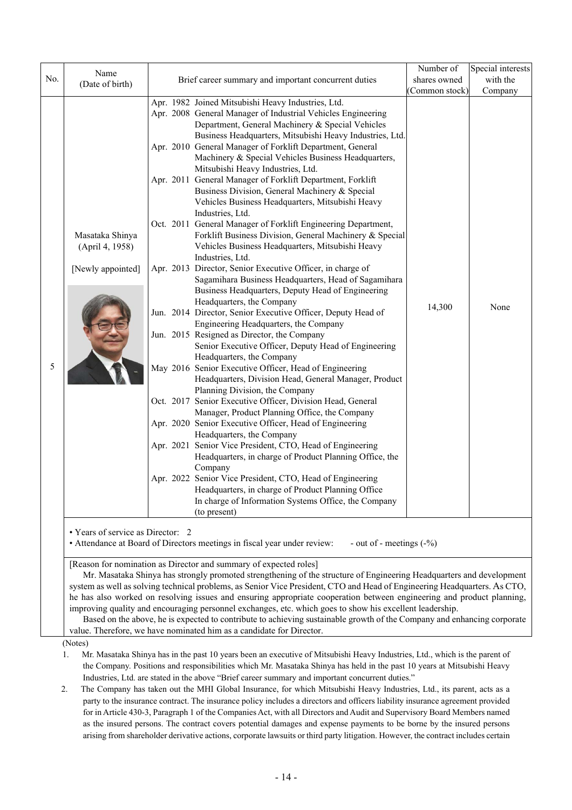|     | Name                               |                                                                                                                                                                                                                   | Number of     | Special interests |
|-----|------------------------------------|-------------------------------------------------------------------------------------------------------------------------------------------------------------------------------------------------------------------|---------------|-------------------|
| No. | (Date of birth)                    | Brief career summary and important concurrent duties                                                                                                                                                              | shares owned  | with the          |
|     |                                    |                                                                                                                                                                                                                   | Common stock) | Company           |
|     |                                    | Apr. 1982 Joined Mitsubishi Heavy Industries, Ltd.<br>Apr. 2008 General Manager of Industrial Vehicles Engineering<br>Department, General Machinery & Special Vehicles                                            |               |                   |
|     |                                    | Business Headquarters, Mitsubishi Heavy Industries, Ltd.<br>Apr. 2010 General Manager of Forklift Department, General<br>Machinery & Special Vehicles Business Headquarters,<br>Mitsubishi Heavy Industries, Ltd. |               |                   |
|     |                                    | Apr. 2011 General Manager of Forklift Department, Forklift<br>Business Division, General Machinery & Special<br>Vehicles Business Headquarters, Mitsubishi Heavy<br>Industries, Ltd.                              |               |                   |
|     | Masataka Shinya<br>(April 4, 1958) | Oct. 2011 General Manager of Forklift Engineering Department,<br>Forklift Business Division, General Machinery & Special<br>Vehicles Business Headquarters, Mitsubishi Heavy<br>Industries, Ltd.                  |               |                   |
|     | [Newly appointed]                  | Apr. 2013 Director, Senior Executive Officer, in charge of<br>Sagamihara Business Headquarters, Head of Sagamihara<br>Business Headquarters, Deputy Head of Engineering<br>Headquarters, the Company              |               |                   |
|     |                                    | Jun. 2014 Director, Senior Executive Officer, Deputy Head of<br>Engineering Headquarters, the Company                                                                                                             | 14,300        | None              |
|     |                                    | Jun. 2015 Resigned as Director, the Company<br>Senior Executive Officer, Deputy Head of Engineering<br>Headquarters, the Company                                                                                  |               |                   |
| 5   |                                    | May 2016 Senior Executive Officer, Head of Engineering<br>Headquarters, Division Head, General Manager, Product<br>Planning Division, the Company                                                                 |               |                   |
|     |                                    | Oct. 2017 Senior Executive Officer, Division Head, General<br>Manager, Product Planning Office, the Company                                                                                                       |               |                   |
|     |                                    | Apr. 2020 Senior Executive Officer, Head of Engineering<br>Headquarters, the Company                                                                                                                              |               |                   |
|     |                                    | Apr. 2021 Senior Vice President, CTO, Head of Engineering<br>Headquarters, in charge of Product Planning Office, the<br>Company                                                                                   |               |                   |
|     |                                    | Apr. 2022 Senior Vice President, CTO, Head of Engineering<br>Headquarters, in charge of Product Planning Office<br>In charge of Information Systems Office, the Company<br>(to present)                           |               |                   |

[Reason for nomination as Director and summary of expected roles]

Mr. Masataka Shinya has strongly promoted strengthening of the structure of Engineering Headquarters and development system as well as solving technical problems, as Senior Vice President, CTO and Head of Engineering Headquarters. As CTO, he has also worked on resolving issues and ensuring appropriate cooperation between engineering and product planning, improving quality and encouraging personnel exchanges, etc. which goes to show his excellent leadership.

Based on the above, he is expected to contribute to achieving sustainable growth of the Company and enhancing corporate value. Therefore, we have nominated him as a candidate for Director.

(Notes)

- 1. Mr. Masataka Shinya has in the past 10 years been an executive of Mitsubishi Heavy Industries, Ltd., which is the parent of the Company. Positions and responsibilities which Mr. Masataka Shinya has held in the past 10 years at Mitsubishi Heavy Industries, Ltd. are stated in the above "Brief career summary and important concurrent duties."
- 2. The Company has taken out the MHI Global Insurance, for which Mitsubishi Heavy Industries, Ltd., its parent, acts as a party to the insurance contract. The insurance policy includes a directors and officers liability insurance agreement provided for in Article 430-3, Paragraph 1 of the Companies Act, with all Directors and Audit and Supervisory Board Members named as the insured persons. The contract covers potential damages and expense payments to be borne by the insured persons arising from shareholder derivative actions, corporate lawsuits or third party litigation. However, the contract includes certain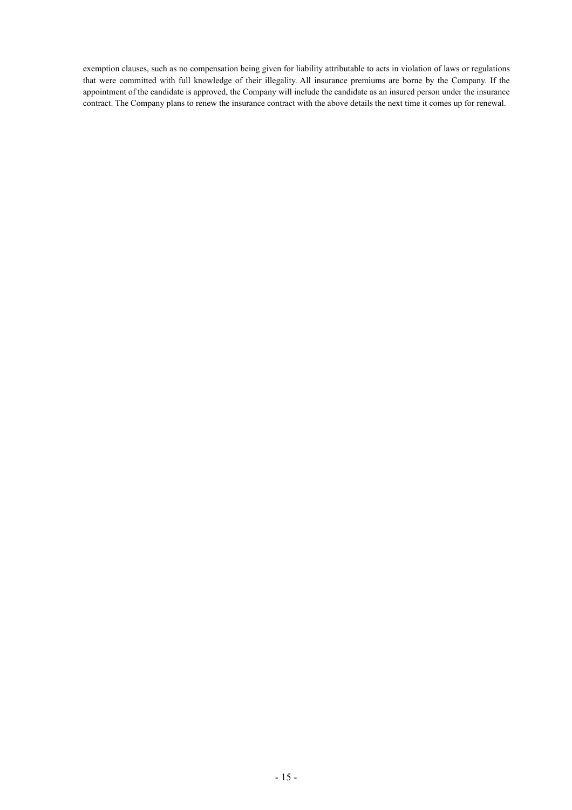exemption clauses, such as no compensation being given for liability attributable to acts in violation of laws or regulations that were committed with full knowledge of their illegality. All insurance premiums are borne by the Company. If the appointment of the candidate is approved, the Company will include the candidate as an insured person under the insurance contract. The Company plans to renew the insurance contract with the above details the next time it comes up for renewal.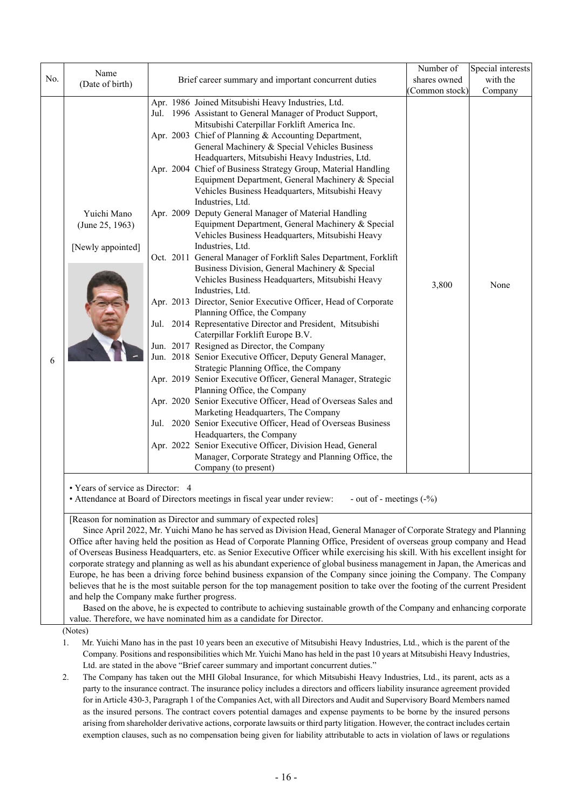|     | Name                                                                                                                                                                                                                                                                                                                                                                                                                                                                                                                                                                                                                                                                                                                                                                                                                                                                                                                                                                                                                                                                                              |                                                                                                                                                                                                                                                                                                                                                                                                                                                                                                                                                                                                                                                                                                                                                                                                                                                                                                                                                                                                                                                                                                                                                                                                                                                                                                                                                                                                                                                                                                                                                                                                                                                                                                             | Number of      | Special interests |  |
|-----|---------------------------------------------------------------------------------------------------------------------------------------------------------------------------------------------------------------------------------------------------------------------------------------------------------------------------------------------------------------------------------------------------------------------------------------------------------------------------------------------------------------------------------------------------------------------------------------------------------------------------------------------------------------------------------------------------------------------------------------------------------------------------------------------------------------------------------------------------------------------------------------------------------------------------------------------------------------------------------------------------------------------------------------------------------------------------------------------------|-------------------------------------------------------------------------------------------------------------------------------------------------------------------------------------------------------------------------------------------------------------------------------------------------------------------------------------------------------------------------------------------------------------------------------------------------------------------------------------------------------------------------------------------------------------------------------------------------------------------------------------------------------------------------------------------------------------------------------------------------------------------------------------------------------------------------------------------------------------------------------------------------------------------------------------------------------------------------------------------------------------------------------------------------------------------------------------------------------------------------------------------------------------------------------------------------------------------------------------------------------------------------------------------------------------------------------------------------------------------------------------------------------------------------------------------------------------------------------------------------------------------------------------------------------------------------------------------------------------------------------------------------------------------------------------------------------------|----------------|-------------------|--|
| No. | (Date of birth)                                                                                                                                                                                                                                                                                                                                                                                                                                                                                                                                                                                                                                                                                                                                                                                                                                                                                                                                                                                                                                                                                   | Brief career summary and important concurrent duties                                                                                                                                                                                                                                                                                                                                                                                                                                                                                                                                                                                                                                                                                                                                                                                                                                                                                                                                                                                                                                                                                                                                                                                                                                                                                                                                                                                                                                                                                                                                                                                                                                                        | shares owned   | with the          |  |
|     |                                                                                                                                                                                                                                                                                                                                                                                                                                                                                                                                                                                                                                                                                                                                                                                                                                                                                                                                                                                                                                                                                                   |                                                                                                                                                                                                                                                                                                                                                                                                                                                                                                                                                                                                                                                                                                                                                                                                                                                                                                                                                                                                                                                                                                                                                                                                                                                                                                                                                                                                                                                                                                                                                                                                                                                                                                             | (Common stock) | Company           |  |
| 6   | Yuichi Mano<br>(June 25, 1963)<br>[Newly appointed]                                                                                                                                                                                                                                                                                                                                                                                                                                                                                                                                                                                                                                                                                                                                                                                                                                                                                                                                                                                                                                               | Apr. 1986 Joined Mitsubishi Heavy Industries, Ltd.<br>Jul. 1996 Assistant to General Manager of Product Support,<br>Mitsubishi Caterpillar Forklift America Inc.<br>Apr. 2003 Chief of Planning & Accounting Department,<br>General Machinery & Special Vehicles Business<br>Headquarters, Mitsubishi Heavy Industries, Ltd.<br>Apr. 2004 Chief of Business Strategy Group, Material Handling<br>Equipment Department, General Machinery & Special<br>Vehicles Business Headquarters, Mitsubishi Heavy<br>Industries, Ltd.<br>Apr. 2009 Deputy General Manager of Material Handling<br>Equipment Department, General Machinery & Special<br>Vehicles Business Headquarters, Mitsubishi Heavy<br>Industries, Ltd.<br>Oct. 2011 General Manager of Forklift Sales Department, Forklift<br>Business Division, General Machinery & Special<br>Vehicles Business Headquarters, Mitsubishi Heavy<br>Industries, Ltd.<br>Apr. 2013 Director, Senior Executive Officer, Head of Corporate<br>Planning Office, the Company<br>Jul. 2014 Representative Director and President, Mitsubishi<br>Caterpillar Forklift Europe B.V.<br>Jun. 2017 Resigned as Director, the Company<br>Jun. 2018 Senior Executive Officer, Deputy General Manager,<br>Strategic Planning Office, the Company<br>Apr. 2019 Senior Executive Officer, General Manager, Strategic<br>Planning Office, the Company<br>Apr. 2020 Senior Executive Officer, Head of Overseas Sales and<br>Marketing Headquarters, The Company<br>Jul. 2020 Senior Executive Officer, Head of Overseas Business<br>Headquarters, the Company<br>Apr. 2022 Senior Executive Officer, Division Head, General<br>Manager, Corporate Strategy and Planning Office, the | 3,800          | None              |  |
|     | • Years of service as Director: 4                                                                                                                                                                                                                                                                                                                                                                                                                                                                                                                                                                                                                                                                                                                                                                                                                                                                                                                                                                                                                                                                 | Company (to present)<br>• Attendance at Board of Directors meetings in fiscal year under review:<br>- out of - meetings $(-\%)$                                                                                                                                                                                                                                                                                                                                                                                                                                                                                                                                                                                                                                                                                                                                                                                                                                                                                                                                                                                                                                                                                                                                                                                                                                                                                                                                                                                                                                                                                                                                                                             |                |                   |  |
|     | [Reason for nomination as Director and summary of expected roles]<br>Since April 2022, Mr. Yuichi Mano he has served as Division Head, General Manager of Corporate Strategy and Planning<br>Office after having held the position as Head of Corporate Planning Office, President of overseas group company and Head<br>of Overseas Business Headquarters, etc. as Senior Executive Officer while exercising his skill. With his excellent insight for<br>corporate strategy and planning as well as his abundant experience of global business management in Japan, the Americas and<br>Europe, he has been a driving force behind business expansion of the Company since joining the Company. The Company<br>believes that he is the most suitable person for the top management position to take over the footing of the current President<br>and help the Company make further progress.<br>Based on the above, he is expected to contribute to achieving sustainable growth of the Company and enhancing corporate<br>value. Therefore, we have nominated him as a candidate for Director. |                                                                                                                                                                                                                                                                                                                                                                                                                                                                                                                                                                                                                                                                                                                                                                                                                                                                                                                                                                                                                                                                                                                                                                                                                                                                                                                                                                                                                                                                                                                                                                                                                                                                                                             |                |                   |  |
|     | (Notes)                                                                                                                                                                                                                                                                                                                                                                                                                                                                                                                                                                                                                                                                                                                                                                                                                                                                                                                                                                                                                                                                                           |                                                                                                                                                                                                                                                                                                                                                                                                                                                                                                                                                                                                                                                                                                                                                                                                                                                                                                                                                                                                                                                                                                                                                                                                                                                                                                                                                                                                                                                                                                                                                                                                                                                                                                             |                |                   |  |
|     | Mr. Yuichi Mano has in the past 10 years been an executive of Mitsubishi Heavy Industries, Ltd., which is the parent of the<br>1.                                                                                                                                                                                                                                                                                                                                                                                                                                                                                                                                                                                                                                                                                                                                                                                                                                                                                                                                                                 |                                                                                                                                                                                                                                                                                                                                                                                                                                                                                                                                                                                                                                                                                                                                                                                                                                                                                                                                                                                                                                                                                                                                                                                                                                                                                                                                                                                                                                                                                                                                                                                                                                                                                                             |                |                   |  |

Company. Positions and responsibilities which Mr. Yuichi Mano has held in the past 10 years at Mitsubishi Heavy Industries, Ltd. are stated in the above "Brief career summary and important concurrent duties."

2. The Company has taken out the MHI Global Insurance, for which Mitsubishi Heavy Industries, Ltd., its parent, acts as a party to the insurance contract. The insurance policy includes a directors and officers liability insurance agreement provided for in Article 430-3, Paragraph 1 of the Companies Act, with all Directors and Audit and Supervisory Board Members named as the insured persons. The contract covers potential damages and expense payments to be borne by the insured persons arising from shareholder derivative actions, corporate lawsuits or third party litigation. However, the contract includes certain exemption clauses, such as no compensation being given for liability attributable to acts in violation of laws or regulations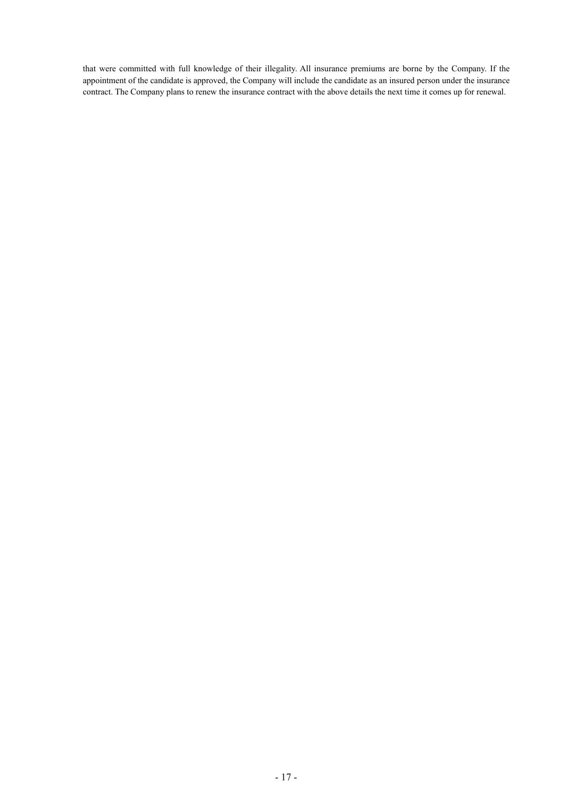that were committed with full knowledge of their illegality. All insurance premiums are borne by the Company. If the appointment of the candidate is approved, the Company will include the candidate as an insured person under the insurance contract. The Company plans to renew the insurance contract with the above details the next time it comes up for renewal.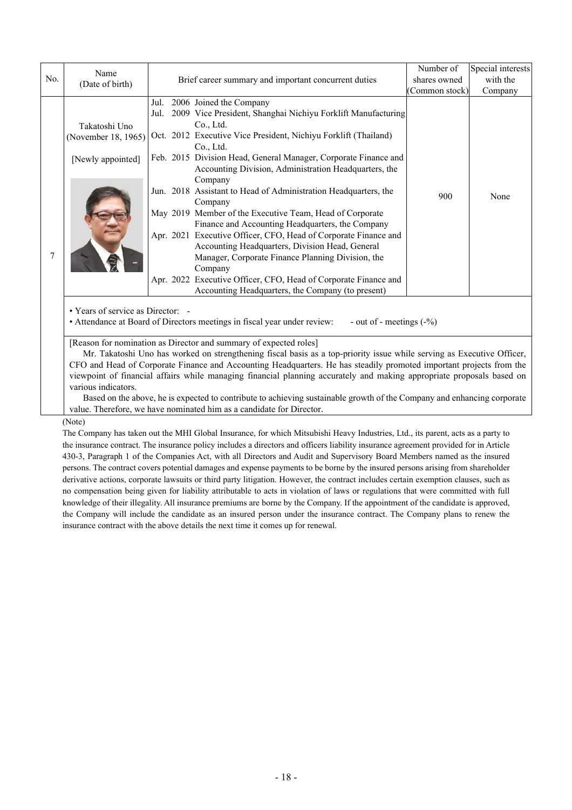|     | Name<br>(Date of birth)                                                                                                                      | Brief career summary and important concurrent duties                                                                                                                                                                                                                                                                                                                                                                                                                                                                                                                   |               | Special interests |  |  |
|-----|----------------------------------------------------------------------------------------------------------------------------------------------|------------------------------------------------------------------------------------------------------------------------------------------------------------------------------------------------------------------------------------------------------------------------------------------------------------------------------------------------------------------------------------------------------------------------------------------------------------------------------------------------------------------------------------------------------------------------|---------------|-------------------|--|--|
| No. |                                                                                                                                              |                                                                                                                                                                                                                                                                                                                                                                                                                                                                                                                                                                        |               | with the          |  |  |
|     |                                                                                                                                              |                                                                                                                                                                                                                                                                                                                                                                                                                                                                                                                                                                        | Common stock) | Company           |  |  |
|     | Takatoshi Uno                                                                                                                                | 2006 Joined the Company<br>Jul.<br>Jul. 2009 Vice President, Shanghai Nichiyu Forklift Manufacturing<br>Co., Ltd.                                                                                                                                                                                                                                                                                                                                                                                                                                                      |               |                   |  |  |
|     | (November 18, 1965)                                                                                                                          | Oct. 2012 Executive Vice President, Nichiyu Forklift (Thailand)<br>Co., Ltd.                                                                                                                                                                                                                                                                                                                                                                                                                                                                                           |               |                   |  |  |
|     | [Newly appointed]                                                                                                                            | Feb. 2015 Division Head, General Manager, Corporate Finance and<br>Accounting Division, Administration Headquarters, the<br>Company                                                                                                                                                                                                                                                                                                                                                                                                                                    |               |                   |  |  |
|     |                                                                                                                                              | Jun. 2018 Assistant to Head of Administration Headquarters, the<br>Company                                                                                                                                                                                                                                                                                                                                                                                                                                                                                             | 900           | None              |  |  |
|     |                                                                                                                                              | May 2019 Member of the Executive Team, Head of Corporate<br>Finance and Accounting Headquarters, the Company                                                                                                                                                                                                                                                                                                                                                                                                                                                           |               |                   |  |  |
| 7   |                                                                                                                                              | Apr. 2021 Executive Officer, CFO, Head of Corporate Finance and<br>Accounting Headquarters, Division Head, General<br>Manager, Corporate Finance Planning Division, the<br>Company                                                                                                                                                                                                                                                                                                                                                                                     |               |                   |  |  |
|     |                                                                                                                                              | Apr. 2022 Executive Officer, CFO, Head of Corporate Finance and<br>Accounting Headquarters, the Company (to present)                                                                                                                                                                                                                                                                                                                                                                                                                                                   |               |                   |  |  |
|     | • Years of service as Director: -<br>• Attendance at Board of Directors meetings in fiscal year under review:<br>- out of - meetings $(-\%)$ |                                                                                                                                                                                                                                                                                                                                                                                                                                                                                                                                                                        |               |                   |  |  |
|     | various indicators.                                                                                                                          | [Reason for nomination as Director and summary of expected roles]<br>Mr. Takatoshi Uno has worked on strengthening fiscal basis as a top-priority issue while serving as Executive Officer,<br>CFO and Head of Corporate Finance and Accounting Headquarters. He has steadily promoted important projects from the<br>viewpoint of financial affairs while managing financial planning accurately and making appropriate proposals based on<br>Based on the above, he is expected to contribute to achieving sustainable growth of the Company and enhancing corporate |               |                   |  |  |

value. Therefore, we have nominated him as a candidate for Director.

(Note)

The Company has taken out the MHI Global Insurance, for which Mitsubishi Heavy Industries, Ltd., its parent, acts as a party to the insurance contract. The insurance policy includes a directors and officers liability insurance agreement provided for in Article 430-3, Paragraph 1 of the Companies Act, with all Directors and Audit and Supervisory Board Members named as the insured persons. The contract covers potential damages and expense payments to be borne by the insured persons arising from shareholder derivative actions, corporate lawsuits or third party litigation. However, the contract includes certain exemption clauses, such as no compensation being given for liability attributable to acts in violation of laws or regulations that were committed with full knowledge of their illegality. All insurance premiums are borne by the Company. If the appointment of the candidate is approved, the Company will include the candidate as an insured person under the insurance contract. The Company plans to renew the insurance contract with the above details the next time it comes up for renewal.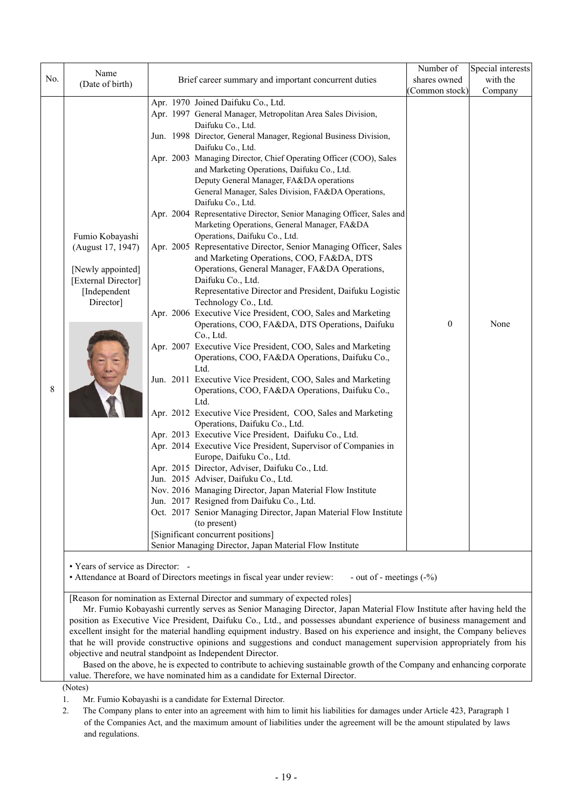|     |                                                                                                                                                                                                                                                |                                                      |                                                                                                                      | Number of        | Special interests |
|-----|------------------------------------------------------------------------------------------------------------------------------------------------------------------------------------------------------------------------------------------------|------------------------------------------------------|----------------------------------------------------------------------------------------------------------------------|------------------|-------------------|
| No. | Name<br>(Date of birth)                                                                                                                                                                                                                        | Brief career summary and important concurrent duties | shares owned                                                                                                         | with the         |                   |
|     |                                                                                                                                                                                                                                                |                                                      |                                                                                                                      | (Common stock)   | Company           |
|     |                                                                                                                                                                                                                                                | Apr. 1970 Joined Daifuku Co., Ltd.                   |                                                                                                                      |                  |                   |
|     |                                                                                                                                                                                                                                                |                                                      | Apr. 1997 General Manager, Metropolitan Area Sales Division,                                                         |                  |                   |
|     |                                                                                                                                                                                                                                                | Daifuku Co., Ltd.                                    |                                                                                                                      |                  |                   |
|     |                                                                                                                                                                                                                                                |                                                      | Jun. 1998 Director, General Manager, Regional Business Division,                                                     |                  |                   |
|     |                                                                                                                                                                                                                                                | Daifuku Co., Ltd.                                    |                                                                                                                      |                  |                   |
|     |                                                                                                                                                                                                                                                |                                                      | Apr. 2003 Managing Director, Chief Operating Officer (COO), Sales                                                    |                  |                   |
|     |                                                                                                                                                                                                                                                |                                                      | and Marketing Operations, Daifuku Co., Ltd.                                                                          |                  |                   |
|     |                                                                                                                                                                                                                                                |                                                      | Deputy General Manager, FA&DA operations                                                                             |                  |                   |
|     |                                                                                                                                                                                                                                                | Daifuku Co., Ltd.                                    | General Manager, Sales Division, FA&DA Operations,                                                                   |                  |                   |
|     |                                                                                                                                                                                                                                                |                                                      | Apr. 2004 Representative Director, Senior Managing Officer, Sales and                                                |                  |                   |
|     |                                                                                                                                                                                                                                                |                                                      | Marketing Operations, General Manager, FA&DA                                                                         |                  |                   |
|     | Fumio Kobayashi                                                                                                                                                                                                                                |                                                      | Operations, Daifuku Co., Ltd.                                                                                        |                  |                   |
|     | (August 17, 1947)                                                                                                                                                                                                                              |                                                      | Apr. 2005 Representative Director, Senior Managing Officer, Sales                                                    |                  |                   |
|     |                                                                                                                                                                                                                                                |                                                      | and Marketing Operations, COO, FA&DA, DTS                                                                            |                  |                   |
|     | [Newly appointed]                                                                                                                                                                                                                              |                                                      | Operations, General Manager, FA&DA Operations,                                                                       |                  |                   |
|     | [External Director]                                                                                                                                                                                                                            | Daifuku Co., Ltd.                                    |                                                                                                                      |                  |                   |
|     | [Independent                                                                                                                                                                                                                                   |                                                      | Representative Director and President, Daifuku Logistic                                                              |                  |                   |
|     | Director]                                                                                                                                                                                                                                      |                                                      | Technology Co., Ltd.                                                                                                 |                  |                   |
|     |                                                                                                                                                                                                                                                |                                                      | Apr. 2006 Executive Vice President, COO, Sales and Marketing                                                         | $\boldsymbol{0}$ | None              |
|     |                                                                                                                                                                                                                                                | Co., Ltd.                                            | Operations, COO, FA&DA, DTS Operations, Daifuku                                                                      |                  |                   |
|     |                                                                                                                                                                                                                                                |                                                      | Apr. 2007 Executive Vice President, COO, Sales and Marketing                                                         |                  |                   |
|     |                                                                                                                                                                                                                                                |                                                      | Operations, COO, FA&DA Operations, Daifuku Co.,                                                                      |                  |                   |
|     |                                                                                                                                                                                                                                                | Ltd.                                                 |                                                                                                                      |                  |                   |
|     |                                                                                                                                                                                                                                                |                                                      | Jun. 2011 Executive Vice President, COO, Sales and Marketing                                                         |                  |                   |
| 8   |                                                                                                                                                                                                                                                |                                                      | Operations, COO, FA&DA Operations, Daifuku Co.,                                                                      |                  |                   |
|     |                                                                                                                                                                                                                                                | Ltd.                                                 |                                                                                                                      |                  |                   |
|     |                                                                                                                                                                                                                                                |                                                      | Apr. 2012 Executive Vice President, COO, Sales and Marketing                                                         |                  |                   |
|     |                                                                                                                                                                                                                                                |                                                      | Operations, Daifuku Co., Ltd.<br>Apr. 2013 Executive Vice President, Daifuku Co., Ltd.                               |                  |                   |
|     |                                                                                                                                                                                                                                                |                                                      | Apr. 2014 Executive Vice President, Supervisor of Companies in                                                       |                  |                   |
|     |                                                                                                                                                                                                                                                |                                                      | Europe, Daifuku Co., Ltd.                                                                                            |                  |                   |
|     |                                                                                                                                                                                                                                                |                                                      | Apr. 2015 Director, Adviser, Daifuku Co., Ltd.                                                                       |                  |                   |
|     |                                                                                                                                                                                                                                                | Jun. 2015 Adviser, Daifuku Co., Ltd.                 |                                                                                                                      |                  |                   |
|     |                                                                                                                                                                                                                                                |                                                      | Nov. 2016 Managing Director, Japan Material Flow Institute                                                           |                  |                   |
|     |                                                                                                                                                                                                                                                |                                                      | Jun. 2017 Resigned from Daifuku Co., Ltd.                                                                            |                  |                   |
|     |                                                                                                                                                                                                                                                |                                                      | Oct. 2017 Senior Managing Director, Japan Material Flow Institute                                                    |                  |                   |
|     |                                                                                                                                                                                                                                                | (to present)                                         |                                                                                                                      |                  |                   |
|     |                                                                                                                                                                                                                                                | [Significant concurrent positions]                   | Senior Managing Director, Japan Material Flow Institute                                                              |                  |                   |
|     |                                                                                                                                                                                                                                                |                                                      |                                                                                                                      |                  |                   |
|     | • Years of service as Director: -                                                                                                                                                                                                              |                                                      |                                                                                                                      |                  |                   |
|     |                                                                                                                                                                                                                                                |                                                      | • Attendance at Board of Directors meetings in fiscal year under review:<br>- out of - meetings $(-\%)$              |                  |                   |
|     | [Reason for nomination as External Director and summary of expected roles]                                                                                                                                                                     |                                                      |                                                                                                                      |                  |                   |
|     |                                                                                                                                                                                                                                                |                                                      |                                                                                                                      |                  |                   |
|     | Mr. Fumio Kobayashi currently serves as Senior Managing Director, Japan Material Flow Institute after having held the<br>position as Executive Vice President, Daifuku Co., Ltd., and possesses abundant experience of business management and |                                                      |                                                                                                                      |                  |                   |
|     | excellent insight for the material handling equipment industry. Based on his experience and insight, the Company believes                                                                                                                      |                                                      |                                                                                                                      |                  |                   |
|     |                                                                                                                                                                                                                                                |                                                      | that he will provide constructive opinions and suggestions and conduct management supervision appropriately from his |                  |                   |
|     | objective and neutral standpoint as Independent Director.                                                                                                                                                                                      |                                                      |                                                                                                                      |                  |                   |
|     | Based on the above, he is expected to contribute to achieving sustainable growth of the Company and enhancing corporate                                                                                                                        |                                                      |                                                                                                                      |                  |                   |

value. Therefore, we have nominated him as a candidate for External Director.

(Notes)

1. Mr. Fumio Kobayashi is a candidate for External Director.

2. The Company plans to enter into an agreement with him to limit his liabilities for damages under Article 423, Paragraph 1 of the Companies Act, and the maximum amount of liabilities under the agreement will be the amount stipulated by laws and regulations.